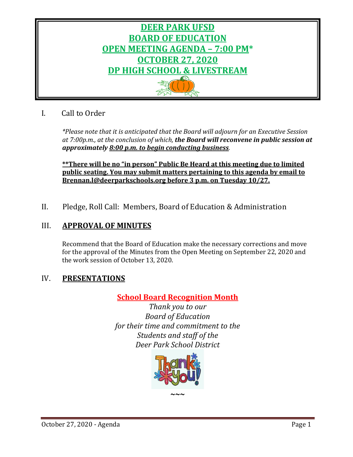

# I. Call to Order

*\*Please note that it is anticipated that the Board will adjourn for an Executive Session at 7:00p.m., at the conclusion of which, the Board will reconvene in public session at approximately 8:00 p.m. to begin conducting business.*

**\*\*There will be no "in person" Public Be Heard at this meeting due to limited public seating. You may submit matters pertaining to this agenda by email to [Brennan.l@deerparkschools.org](mailto:Brennan.l@deerparkschools.org) before 3 p.m. on Tuesday 10/27.**

II. Pledge, Roll Call: Members, Board of Education & Administration

# III. **APPROVAL OF MINUTES**

Recommend that the Board of Education make the necessary corrections and move for the approval of the Minutes from the Open Meeting on September 22, 2020 and the work session of October 13, 2020.

# IV. **PRESENTATIONS**

# **School Board Recognition Month**

*Thank you to our Board of Education for their time and commitment to the Students and staff of the Deer Park School District*

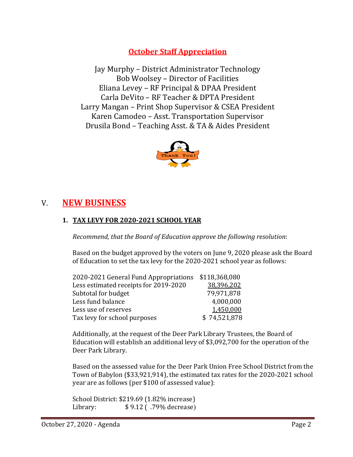# **October Staff Appreciation**

Jay Murphy – District Administrator Technology Bob Woolsey – Director of Facilities Eliana Levey – RF Principal & DPAA President Carla DeVito – RF Teacher & DPTA President Larry Mangan – Print Shop Supervisor & CSEA President Karen Camodeo – Asst. Transportation Supervisor Drusila Bond – Teaching Asst. & TA & Aides President



# V. **NEW BUSINESS**

# **1. TAX LEVY FOR 2020-2021 SCHOOL YEAR**

*Recommend, that the Board of Education approve the following resolution*:

Based on the budget approved by the voters on June 9, 2020 please ask the Board of Education to set the tax levy for the 2020-2021 school year as follows:

| 2020-2021 General Fund Appropriations | \$118,368,080 |
|---------------------------------------|---------------|
| Less estimated receipts for 2019-2020 | 38,396,202    |
| Subtotal for budget                   | 79,971,878    |
| Less fund balance                     | 4,000,000     |
| Less use of reserves                  | 1,450,000     |
| Tax levy for school purposes          | \$74,521,878  |
|                                       |               |

Additionally, at the request of the Deer Park Library Trustees, the Board of Education will establish an additional levy of \$3,092,700 for the operation of the Deer Park Library.

Based on the assessed value for the Deer Park Union Free School District from the Town of Babylon (\$33,921,914), the estimated tax rates for the 2020-2021 school year are as follows (per \$100 of assessed value):

```
School District: $219.69 (1.82% increase)<br>Library: $9.12 ( .79% decrease)
              Library: $ 9.12 ( .79% decrease)
```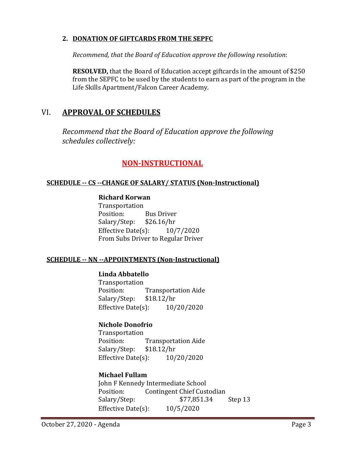## **2. DONATION OF GIFTCARDS FROM THE SEPFC**

*Recommend, that the Board of Education approve the following resolution*:

**RESOLVED,** that the Board of Education accept giftcards in the amount of \$250 from the SEPFC to be used by the students to earn as part of the program in the Life Skills Apartment/Falcon Career Academy.

# VI. **APPROVAL OF SCHEDULES**

*Recommend that the Board of Education approve the following schedules collectively:*

# **NON-INSTRUCTIONAL**

## **SCHEDULE -- CS --CHANGE OF SALARY/ STATUS (Non-Instructional)**

# **Richard Korwan**

Transportation<br>Position: Bus Driver<br>\$26.16/hr Salary/Step: Effective Date $(s)$ :  $10/7/2020$ From Subs Driver to Regular Driver

# **SCHEDULE -- NN --APPOINTMENTS (Non-Instructional)**

# **Linda Abbatello**

Transportation<br>Position: Transportation Aide<br>\$18.12/hr Salary/Step: \$18.12/hr<br>Effective Date(s): 10/20/2020 Effective Date $(s)$ :

# **Nichole Donofrio**

Transportation<br>Position: Transportation Aide<br>\$18.12/hr Salary/Step: Effective Date(s): 10/20/2020

# **Michael Fullam**

John F Kennedy Intermediate School<br>Position: Contingent Chief Cust Contingent Chief Custodian<br>\$77,851.34 Salary/Step:  $$77,851.34$  Step 13 Effective Date(s): 10/5/2020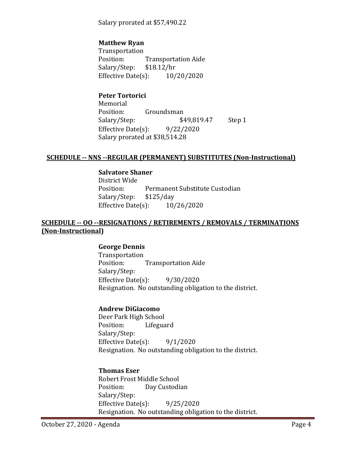Salary prorated at \$57,490.22

# **Matthew Ryan**

Transportation<br>Position: Transportation Aide<br>\$18.12/hr Salary/Step: \$18.12/hr<br>Effective Date(s): 10/20/2020 Effective Date $(s)$ :

**Peter Tortorici**

Memorial<br>Position: Groundsman<br> $$49,819.47$ Salary/Step: \$49,819.47 Step 1 Effective Date(s): 9/22/2020 Salary prorated at \$38,514.28

#### **SCHEDULE -- NNS --REGULAR (PERMANENT) SUBSTITUTES (Non-Instructional)**

#### **Salvatore Shaner**

District Wide Permanent Substitute Custodian<br>\$125/day Salary/Step: Effective Date(s): 10/26/2020

## **SCHEDULE -- OO --RESIGNATIONS / RETIREMENTS / REMOVALS / TERMINATIONS (Non-Instructional)**

#### **George Dennis**

Transportation<br>Position: **Transportation Aide** Salary/Step: Effective Date(s): 9/30/2020 Resignation. No outstanding obligation to the district.

#### **Andrew DiGiacomo**

Deer Park High School Lifeguard Salary/Step: Effective Date $(s)$ : 9/1/2020 Resignation. No outstanding obligation to the district.

# **Thomas Eser**

Robert Frost Middle School<br>Position: Day Custodi Day Custodian Salary/Step: Effective Date(s): 9/25/2020 Resignation. No outstanding obligation to the district.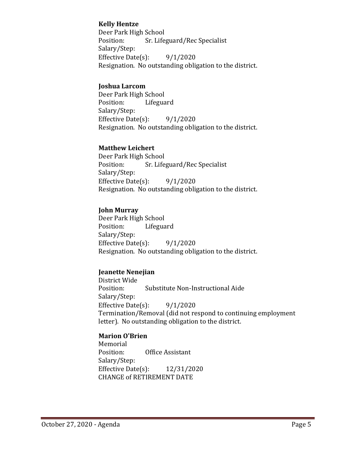## **Kelly Hentze**

Deer Park High School<br>Position: Sr. Life Sr. Lifeguard/Rec Specialist Salary/Step: Effective Date $(s)$ : 9/1/2020 Resignation. No outstanding obligation to the district.

## **Joshua Larcom**

Deer Park High School<br>Position: Lifegua Lifeguard Salary/Step: Effective Date $(s)$ : 9/1/2020 Resignation. No outstanding obligation to the district.

## **Matthew Leichert**

Deer Park High School<br>Position: Sr. Life Sr. Lifeguard/Rec Specialist Salary/Step: Effective Date $(s)$ : 9/1/2020 Resignation. No outstanding obligation to the district.

#### **John Murray**

Deer Park High School<br>Position: Lifegua Lifeguard Salary/Step: Effective Date $(s)$ : 9/1/2020 Resignation. No outstanding obligation to the district.

# **Jeanette Nenejian**

District Wide Substitute Non-Instructional Aide Salary/Step: Effective Date(s): 9/1/2020 Termination/Removal (did not respond to continuing employment letter). No outstanding obligation to the district.

# **Marion O'Brien**

Memorial<br>Position: Office Assistant Salary/Step: Effective Date(s): 12/31/2020 CHANGE of RETIREMENT DATE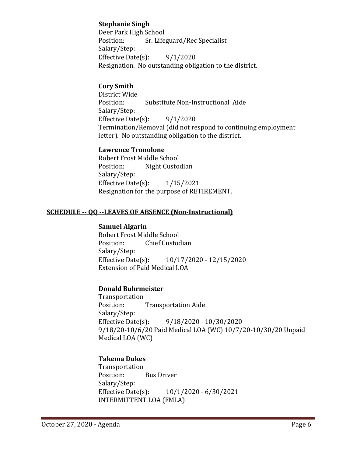# **Stephanie Singh**

Deer Park High School<br>Position: Sr. Life Sr. Lifeguard/Rec Specialist Salary/Step: Effective Date(s):  $9/1/2020$ Resignation. No outstanding obligation to the district.

# **Cory Smith**

District Wide Substitute Non-Instructional Aide Salary/Step: Effective Date $(s)$ : 9/1/2020 Termination/Removal (did not respond to continuing employment letter). No outstanding obligation to the district.

## **Lawrence Tronolone**

Robert Frost Middle School Night Custodian Salary/Step: Effective Date(s): 1/15/2021 Resignation for the purpose of RETIREMENT.

# **SCHEDULE -- QQ --LEAVES OF ABSENCE (Non-Instructional)**

#### **Samuel Algarin**

Robert Frost Middle School<br>Position: Chief Custoc **Chief Custodian** Salary/Step:<br>Effective Date(s): Effective Date(s): 10/17/2020 - 12/15/2020 Extension of Paid Medical LOA

# **Donald Buhrmeister**

Transportation **Transportation Aide** Salary/Step:<br>Effective Date(s): Effective Date(s): 9/18/2020 - 10/30/2020 9/18/20-10/6/20 Paid Medical LOA (WC) 10/7/20-10/30/20 Unpaid Medical LOA (WC)

# **Takema Dukes**

Transportation **Bus Driver** Salary/Step:<br>Effective Date(s): Effective Date(s): 10/1/2020 - 6/30/2021 INTERMITTENT LOA (FMLA)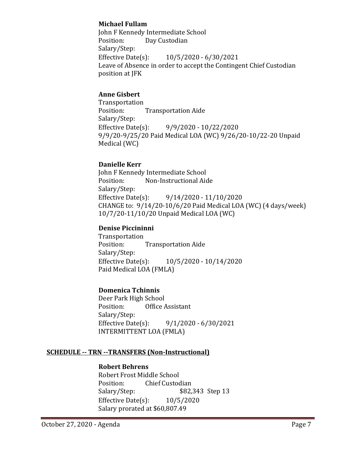## **Michael Fullam**

John F Kennedy Intermediate School<br>Position: Day Custodian Day Custodian Salary/Step:<br>Effective Date(s): Effective Date(s): 10/5/2020 - 6/30/2021 Leave of Absence in order to accept the Contingent Chief Custodian position at JFK

## **Anne Gisbert**

Transportation<br>Position: **Transportation Aide** Salary/Step:<br>Effective Date(s): Effective Date(s): 9/9/2020 - 10/22/2020 9/9/20-9/25/20 Paid Medical LOA (WC) 9/26/20-10/22-20 Unpaid Medical (WC)

#### **Danielle Kerr**

John F Kennedy Intermediate School<br>Position: Non-Instructional Aid Non-Instructional Aide Salary/Step:<br>Effective Date(s): Effective Date(s): 9/14/2020 - 11/10/2020 CHANGE to: 9/14/20-10/6/20 Paid Medical LOA (WC) (4 days/week) 10/7/20-11/10/20 Unpaid Medical LOA (WC)

## **Denise Piccininni**

Transportation<br>Position: **Transportation Aide** Salary/Step:<br>Effective Date(s): Effective Date(s): 10/5/2020 - 10/14/2020 Paid Medical LOA (FMLA)

# **Domenica Tchinnis**

Deer Park High School<br>Position: Office A Office Assistant Salary/Step:<br>Effective Date(s):  $9/1/2020 - 6/30/2021$ INTERMITTENT LOA (FMLA)

#### **SCHEDULE -- TRN --TRANSFERS (Non-Instructional)**

#### **Robert Behrens**

Robert Frost Middle School<br>Position: Chief Custoc Position: Chief Custodian<br>Salary/Step: \$82, \$82,343 Step 13 Effective Date(s): 10/5/2020 Salary prorated at \$60,807.49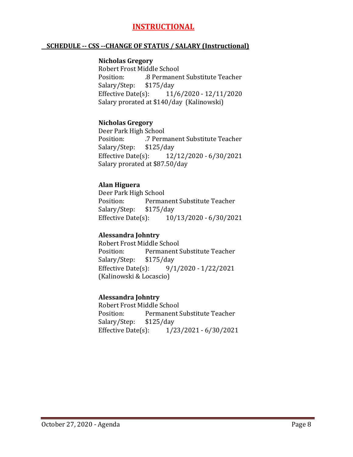# **INSTRUCTIONAL**

#### **SCHEDULE -- CSS --CHANGE OF STATUS / SALARY (Instructional)**

#### **Nicholas Gregory**

Robert Frost Middle School .8 Permanent Substitute Teacher<br>\$175/day Salary/Step: \$1<br>Effective Date(s): Effective Date(s): 11/6/2020 - 12/11/2020 Salary prorated at \$140/day (Kalinowski)

## **Nicholas Gregory**

Deer Park High School<br>Position: 7 Perm .7 Permanent Substitute Teacher<br>\$125/day Salary/Step: \$1<br>Effective Date(s): Effective Date(s): 12/12/2020 - 6/30/2021 Salary prorated at \$87.50/day

#### **Alan Higuera**

Deer Park High School Permanent Substitute Teacher<br>\$175/day Salary/Step: \$1<br>Effective Date(s): Effective Date(s): 10/13/2020 - 6/30/2021

#### **Alessandra Johntry**

Robert Frost Middle School<br>Position: Permanent! Permanent Substitute Teacher<br>\$175/day Salary/Step: \$1<br>Effective Date(s): Effective Date(s): 9/1/2020 - 1/22/2021 (Kalinowski & Locascio)

#### **Alessandra Johntry**

Robert Frost Middle School<br>Position: Permanent ! Permanent Substitute Teacher<br>\$125/day Salary/Step: \$12!<br>Effective Date(s): Effective Date(s): 1/23/2021 - 6/30/2021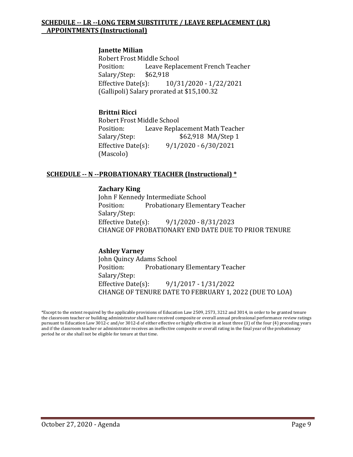## **SCHEDULE -- LR --LONG TERM SUBSTITUTE / LEAVE REPLACEMENT (LR) APPOINTMENTS (Instructional)**

#### **Janette Milian**

Robert Frost Middle School Leave Replacement French Teacher<br>\$62,918 Salary/Step: Effective Date(s): 10/31/2020 - 1/22/2021 (Gallipoli) Salary prorated at \$15,100.32

#### **Brittni Ricci**

Robert Frost Middle School<br>Position: Leave Repla Position: Leave Replacement Math Teacher<br>Salary/Step: \$62,918 MA/Step 1 \$62,918 MA/Step 1 Effective Date(s): 9/1/2020 - 6/30/2021 (Mascolo)

#### **SCHEDULE -- N --PROBATIONARY TEACHER (Instructional) \***

#### **Zachary King**

John F Kennedy Intermediate School Position: Probationary Elementary Teacher Salary/Step:<br>Effective Date(s): Effective Date(s): 9/1/2020 - 8/31/2023 CHANGE OF PROBATIONARY END DATE DUE TO PRIOR TENURE

#### **Ashley Varney**

John Quincy Adams School Probationary Elementary Teacher Salary/Step: Effective Date(s): 9/1/2017 - 1/31/2022 CHANGE OF TENURE DATE TO FEBRUARY 1, 2022 (DUE TO LOA)

\*Except to the extent required by the applicable provisions of Education Law 2509, 2573, 3212 and 3014, in order to be granted tenure the classroom teacher or building administrator shall have received composite or overall annual professional performance review ratings pursuant to Education Law 3012-c and/or 3012-d of either effective or highly effective in at least three (3) of the four (4) preceding years and if the classroom teacher or administrator receives an ineffective composite or overall rating in the final year of the probationary period he or she shall not be eligible for tenure at that time.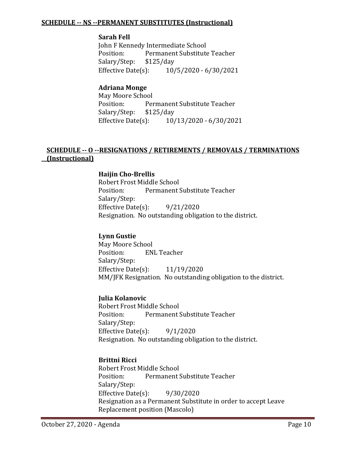#### **SCHEDULE -- NS --PERMANENT SUBSTITUTES (Instructional)**

#### **Sarah Fell**

John F Kennedy Intermediate School<br>Position: Permanent Substitute Permanent Substitute Teacher<br>\$125/day Salary/Step: \$1<br>Effective Date(s): Effective Date(s): 10/5/2020 - 6/30/2021

## **Adriana Monge**

May Moore School<br>Position: Per Permanent Substitute Teacher<br>\$125/day Salary/Step: \$12<br>Effective Date(s): Effective Date(s): 10/13/2020 - 6/30/2021

## **SCHEDULE -- O --RESIGNATIONS / RETIREMENTS / REMOVALS / TERMINATIONS (Instructional)**

#### **Haijin Cho-Brellis**

Robert Frost Middle School<br>Position: Permanent! Permanent Substitute Teacher Salary/Step: Effective Date(s): 9/21/2020 Resignation. No outstanding obligation to the district.

#### **Lynn Gustie**

May Moore School<br>Position: EN **ENL Teacher** Salary/Step: Effective Date(s): 11/19/2020 MM/JFK Resignation. No outstanding obligation to the district.

#### **Julia Kolanovic**

Robert Frost Middle School Permanent Substitute Teacher Salary/Step: Effective Date $(s)$ : 9/1/2020 Resignation. No outstanding obligation to the district.

#### **Brittni Ricci**

Robert Frost Middle School<br>Position: Permanent ! Permanent Substitute Teacher Salary/Step: Effective Date(s): 9/30/2020 Resignation as a Permanent Substitute in order to accept Leave Replacement position (Mascolo)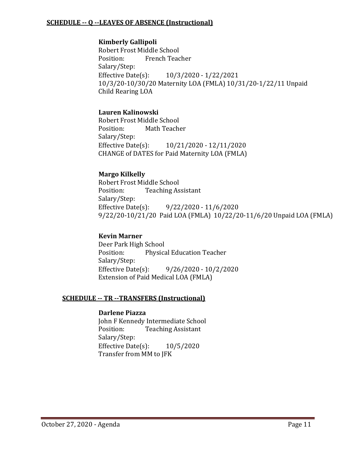#### **SCHEDULE -- Q --LEAVES OF ABSENCE (Instructional)**

#### **Kimberly Gallipoli**

Robert Frost Middle School<br>Position: French Teac French Teacher Salary/Step:<br>Effective Date(s): Effective Date(s): 10/3/2020 - 1/22/2021 10/3/20-10/30/20 Maternity LOA (FMLA) 10/31/20-1/22/11 Unpaid Child Rearing LOA

## **Lauren Kalinowski**

Robert Frost Middle School<br>Position: Math Teach Math Teacher Salary/Step:<br>Effective Date(s): Effective Date(s): 10/21/2020 - 12/11/2020 CHANGE of DATES for Paid Maternity LOA (FMLA)

## **Margo Kilkelly**

Robert Frost Middle School<br>Position: Teaching As **Teaching Assistant** Salary/Step:<br>Effective Date(s):  $9/22/2020 - 11/6/2020$ 9/22/20-10/21/20 Paid LOA (FMLA) 10/22/20-11/6/20 Unpaid LOA (FMLA)

#### **Kevin Marner**

Deer Park High School<br>Position: Physica Physical Education Teacher Salary/Step:<br>Effective Date(s):  $9/26/2020 - 10/2/2020$ Extension of Paid Medical LOA (FMLA)

#### **SCHEDULE -- TR --TRANSFERS (Instructional)**

#### **Darlene Piazza**

John F Kennedy Intermediate School<br>Position: Teaching Assistant **Teaching Assistant** Salary/Step: Effective Date(s): 10/5/2020 Transfer from MM to JFK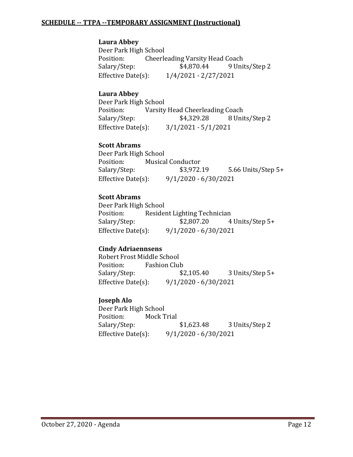#### **SCHEDULE -- TTPA --TEMPORARY ASSIGNMENT (Instructional)**

## **Laura Abbey**

Deer Park High School<br>Position: Cheerle Position: Cheerleading Varsity Head Coach<br>Salary/Step: \$4,870.44 9 Unit 9 Units/Step 2 Effective Date(s): 1/4/2021 - 2/27/2021

## **Laura Abbey**

Deer Park High School<br>Position: Varsity Position: Varsity Head Cheerleading Coach<br>Salary/Step: \$4,329.28 8 Uni Salary/Step: \$4,329.28 8 Units/Step 2<br>Effective Date(s): 3/1/2021 - 5/1/2021  $3/1/2021 - 5/1/2021$ 

#### **Scott Abrams**

Deer Park High School<br>Position: Musica Position: Musical Conductor<br>Salary/Step: \$3,972.19 5.66 Units/Step  $5+$ Effective Date(s): 9/1/2020 - 6/30/2021

# **Scott Abrams**

Deer Park High School Position: Resident Lighting Technician<br>Salary/Step: \$2,807.20 4 Salary/Step: \$2,807.20 4 Units/Step 5+<br>Effective Date(s): 9/1/2020 - 6/30/2021 Effective Date(s): 9/1/2020 - 6/30/2021

# **Cindy Adriaennsens**

Robert Frost Middle School<br>Position: Fashion Clul Position: Fashion Club<br>Salary/Step: \$2,105.40 3 Units/Step 5+ Effective Date(s): 9/1/2020 - 6/30/2021

# **Joseph Alo**

Deer Park High School<br>Position: Mock T Position: Mock Trial<br>Salary/Step: \$1,623.48 3 Units/Step 2 Effective Date(s): 9/1/2020 - 6/30/2021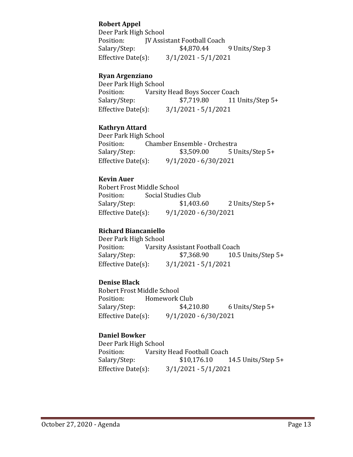# **Robert Appel**

Deer Park High School<br>Position: **IV Assi** Position: JV Assistant Football Coach<br>Salary/Step: \$4,870.44 9 Units/Step 3 Effective Date(s): 3/1/2021 - 5/1/2021

# **Ryan Argenziano**

Deer Park High School<br>Position: Varsity Position: Varsity Head Boys Soccer Coach<br>Salary/Step: \$7,719.80 11 U 11 Units/Step 5+ Effective Date(s): 3/1/2021 - 5/1/2021

## **Kathryn Attard**

Deer Park High School Position: Chamber Ensemble - Orchestra<br>Salary/Step: \$3,509.00 5 U 5 Units/Step 5+ Effective Date(s): 9/1/2020 - 6/30/2021

## **Kevin Auer**

Robert Frost Middle School<br>Position: Social Studie Position: Social Studies Club<br>Salary/Step: \$1,403.60 2 Units/Step 5+ Effective Date(s): 9/1/2020 - 6/30/2021

# **Richard Biancaniello**

Deer Park High School<br>Position: Varsity Position: Varsity Assistant Football Coach<br>Salary/Step: \$7,368.90 10.5 10.5 Units/Step  $5+$ Effective Date(s): 3/1/2021 - 5/1/2021

#### **Denise Black**

Robert Frost Middle School<br>Position: Homework Position: Homework Club<br>Salary/Step: \$4,210.80  $6$  Units/Step 5+ Effective Date(s): 9/1/2020 - 6/30/2021

#### **Daniel Bowker**

Deer Park High School<br>Position: Varsity Position: Varsity Head Football Coach<br>Salary/Step: \$10,176.10 Salary/Step: \$10,176.10 14.5 Units/Step 5+<br>Effective Date(s): 3/1/2021 - 5/1/2021  $3/1/2021 - 5/1/2021$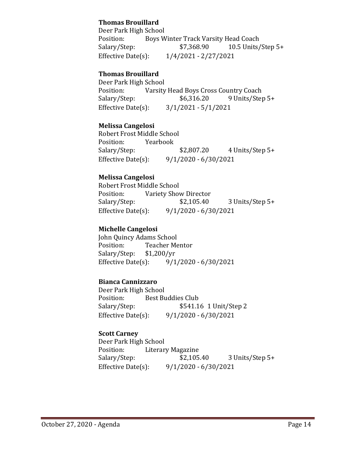# **Thomas Brouillard**

Deer Park High School<br>Position: Boys W Position: Boys Winter Track Varsity Head Coach<br>Salary/Step: \$7,368.90 10.5 Units/ 10.5 Units/Step  $5+$ Effective Date(s): 1/4/2021 - 2/27/2021

## **Thomas Brouillard**

Deer Park High School<br>Position: Varsity Position: Varsity Head Boys Cross Country Coach<br>Salary/Step: \$6,316.20 9 Units/Step 9 Units/Step 5+ Effective Date(s): 3/1/2021 - 5/1/2021

## **Melissa Cangelosi**

Robert Frost Middle School<br>Position: Yearbook Position:<br>Salary/Step: Salary/Step: \$2,807.20 4 Units/Step 5+<br>Effective Date(s): 9/1/2020 - 6/30/2021  $9/1/2020 - 6/30/2021$ 

## **Melissa Cangelosi**

Robert Frost Middle School<br>Position: Variety Shov Variety Show Director<br>\$2,105.40 Salary/Step: \$2,105.40 3 Units/Step 5+ Effective Date(s): 9/1/2020 - 6/30/2021

#### **Michelle Cangelosi**

John Quincy Adams School Teacher Mentor<br>\$1,200/yr Salary/Step: \$1<br>Effective Date(s):  $9/1/2020 - 6/30/2021$ 

#### **Bianca Cannizzaro**

Deer Park High School Position: Best Buddies Club<br>Salary/Step: \$541.1 \$541.16 1 Unit/Step 2 Effective Date(s): 9/1/2020 - 6/30/2021

#### **Scott Carney**

Deer Park High School Position: Literary Magazine<br>Salary/Step: \$2,105.40 Salary/Step: \$2,105.40 3 Units/Step 5+<br>Effective Date(s): 9/1/2020 - 6/30/2021  $9/1/2020 - 6/30/2021$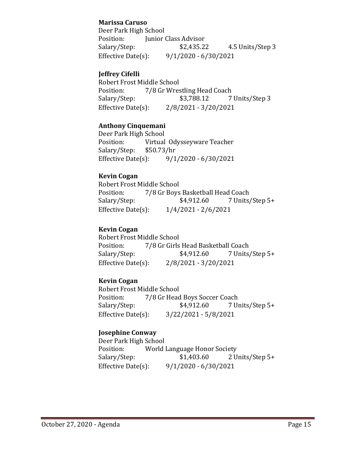## **Marissa Caruso**

Deer Park High School<br>Position: [unior 0 Position: Junior Class Advisor<br>Salary/Step: \$2,435.22 4.5 Units/Step 3 Effective Date(s): 9/1/2020 - 6/30/2021

## **Jeffrey Cifelli**

Robert Frost Middle School<br>Position: 7/8 Gr Wres Position: 7/8 Gr Wrestling Head Coach<br>Salary/Step: \$3,788.12 7 7 Units/Step 3 Effective Date(s): 2/8/2021 - 3/20/2021

## **Anthony Cinquemani**

Deer Park High School<br>Position: Virtual Virtual Odysseyware Teacher<br>\$50.73/hr Salary/Step: \$5<br>Effective Date(s):  $9/1/2020 - 6/30/2021$ 

## **Kevin Cogan**

Robert Frost Middle School<br>Position: 7/8 Gr Boys Position: 7/8 Gr Boys Basketball Head Coach<br>Salary/Step: \$4,912.60 7 Units 7 Units/Step 5+ Effective Date(s): 1/4/2021 - 2/6/2021

# **Kevin Cogan**

Robert Frost Middle School<br>Position: 7/8 Gr Girls Position: 7/8 Gr Girls Head Basketball Coach<br>Salary/Step: \$4,912.60 7 Units, 7 Units/Step 5+ Effective Date(s): 2/8/2021 - 3/20/2021

# **Kevin Cogan**

Robert Frost Middle School<br>Position: 7/8 Gr Head Position: 7/8 Gr Head Boys Soccer Coach<br>Salary/Step: \$4,912.60 7 U 7 Units/Step 5+ Effective Date(s): 3/22/2021 - 5/8/2021

# **Josephine Conway**

Deer Park High School<br>Position: World Position: World Language Honor Society<br>Salary/Step: \$1,403.60 2 U Salary/Step: \$1,403.60 2 Units/Step 5+<br>Effective Date(s): 9/1/2020 - 6/30/2021  $9/1/2020 - 6/30/2021$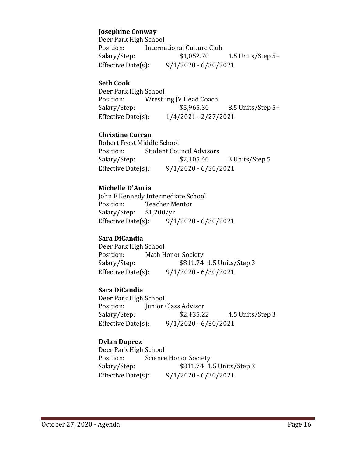## **Josephine Conway**

Deer Park High School<br>Position: Interna Position: International Culture Club<br>Salary/Step: \$1,052.70 1.5 Units/Step  $5+$ Effective Date(s): 9/1/2020 - 6/30/2021

#### **Seth Cook**

Deer Park High School<br>Position: Wrestli Position: Wrestling JV Head Coach<br>Salary/Step: \$5,965.30 8.5 Units/Step 5+ Effective Date(s): 1/4/2021 - 2/27/2021

## **Christine Curran**

Robert Frost Middle School<br>Position: Student Cou Position: Student Council Advisors<br>Salary/Step: \$2,105.40 Salary/Step: \$2,105.40 3 Units/Step 5<br>Effective Date(s): 9/1/2020 - 6/30/2021 Effective Date(s): 9/1/2020 - 6/30/2021

## **Michelle D'Auria**

John F Kennedy Intermediate School<br>Position: Teacher Mentor Teacher Mentor<br>\$1,200/yr Salary/Step: \$1,<br>Effective Date(s):  $9/1/2020 - 6/30/2021$ 

#### **Sara DiCandia**

Deer Park High School Position: Math Honor Society<br>Salary/Step: \$811.74 \$811.74 1.5 Units/Step 3 Effective Date(s): 9/1/2020 - 6/30/2021

#### **Sara DiCandia**

Deer Park High School Position: Junior Class Advisor<br>Salary/Step: \$2,435.22 4.5 Units/Step 3 Effective Date(s): 9/1/2020 - 6/30/2021

# **Dylan Duprez**

Deer Park High School<br>Position: Science Position: Science Honor Society<br>Salary/Step: \$811.74 1. Salary/Step: \$811.74 1.5 Units/Step 3<br>Effective Date(s): 9/1/2020 - 6/30/2021  $9/1/2020 - 6/30/2021$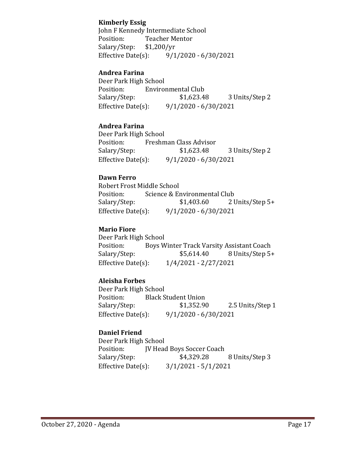## **Kimberly Essig**

John F Kennedy Intermediate School<br>Position: Teacher Mentor Teacher Mentor<br>\$1,200/yr Salary/Step: Effective Date(s): 9/1/2020 - 6/30/2021

## **Andrea Farina**

Deer Park High School<br>Position: Enviro Position: Environmental Club<br>Salary/Step: \$1,623.48 Salary/Step: \$1,623.48 3 Units/Step 2<br>Effective Date(s): 9/1/2020 - 6/30/2021  $9/1/2020 - 6/30/2021$ 

## **Andrea Farina**

Deer Park High School<br>Position: Freshm Position: Freshman Class Advisor<br>Salary/Step: \$1,623.48 3 Units/Step 2 Effective Date(s): 9/1/2020 - 6/30/2021

## **Dawn Ferro**

Robert Frost Middle School<br>Position: Science & Er Position: Science & Environmental Club<br>Salary/Step: \$1,403.60 21 2 Units/Step 5+ Effective Date(s): 9/1/2020 - 6/30/2021

#### **Mario Fiore**

Deer Park High School<br>Position: Boys W Position: Boys Winter Track Varsity Assistant Coach<br>Salary/Step: \$5,614.40 8 Units/Step 5+ 8 Units/Step 5+ Effective Date(s): 1/4/2021 - 2/27/2021

# **Aleisha Forbes**

Deer Park High School<br>Position: Black S Position: Black Student Union<br>Salary/Step: \$1,352.90 Salary/Step: \$1,352.90 2.5 Units/Step 1<br>Effective Date(s): 9/1/2020 - 6/30/2021  $9/1/2020 - 6/30/2021$ 

# **Daniel Friend**

Deer Park High School<br>Position: [V Head Position: JV Head Boys Soccer Coach<br>Salary/Step: \$4,329.28 Salary/Step: \$4,329.28 8 Units/Step 3<br>Effective Date(s): 3/1/2021 - 5/1/2021  $3/1/2021 - 5/1/2021$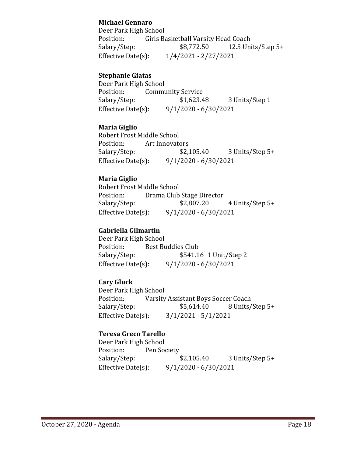## **Michael Gennaro**

Deer Park High School<br>Position: Girls Ba Position: Girls Basketball Varsity Head Coach<br>Salary/Step: \$8,772.50 12.5 Un 12.5 Units/Step  $5+$ Effective Date(s): 1/4/2021 - 2/27/2021

## **Stephanie Giatas**

Deer Park High School<br>Position: Commu Position: Community Service<br>Salary/Step: \$1,623.48 Salary/Step: \$1,623.48 3 Units/Step 1<br>Effective Date(s): 9/1/2020 - 6/30/2021  $9/1/2020 - 6/30/2021$ 

#### **Maria Giglio**

Robert Frost Middle School Position: Art Innovators<br>Salary/Step: \$2,105.40 3 Units/Step 5+ Effective Date(s): 9/1/2020 - 6/30/2021

## **Maria Giglio**

Robert Frost Middle School Position: Drama Club Stage Director<br>Salary/Step: \$2,807.20 4 Units/Step 5+ Effective Date(s): 9/1/2020 - 6/30/2021

# **Gabriella Gilmartin**

Deer Park High School Position: Best Buddies Club<br>Salary/Step: \$541.1 Salary/Step: \$541.16 1 Unit/Step 2<br>Effective Date(s): 9/1/2020 - 6/30/2021  $9/1/2020 - 6/30/2021$ 

# **Cary Gluck**

Deer Park High School<br>Position: Varsity Position: Varsity Assistant Boys Soccer Coach<br>Salary/Step: \$5,614.40 8 Units/ 8 Units/Step 5+ Effective Date(s): 3/1/2021 - 5/1/2021

#### **Teresa Greco Tarello**

Deer Park High School Position: Pen Society<br>Salary/Step: \$2,105.40 Salary/Step: \$2,105.40 3 Units/Step 5+<br>Effective Date(s): 9/1/2020 - 6/30/2021 Effective Date(s): 9/1/2020 - 6/30/2021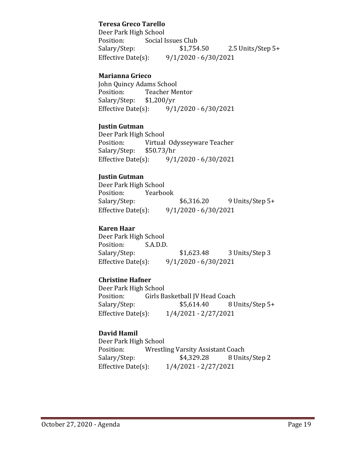#### **Teresa Greco Tarello**

Deer Park High School<br>Position: Social I Position: Social Issues Club<br>Salary/Step: \$1,754.50  $2.5$  Units/Step 5+ Effective Date(s): 9/1/2020 - 6/30/2021

#### **Marianna Grieco**

John Quincy Adams School<br>Position: Teacher Me Teacher Mentor<br>\$1,200/yr Salary/Step: \$1,<br>Effective Date(s):  $9/1/2020 - 6/30/2021$ 

#### **Justin Gutman**

Deer Park High School<br>Position: Virtual Virtual Odysseyware Teacher<br>\$50.73/hr Salary/Step: \$5<br>Effective Date(s):  $9/1/2020 - 6/30/2021$ 

#### **Justin Gutman**

Deer Park High School<br>Position: Yearbo Position: Yearbook<br>Salary/Step: \$6,316.20 9 Units/Step 5+ Effective Date(s): 9/1/2020 - 6/30/2021

#### **Karen Haar**

Deer Park High School<br>Position: S.A.D.D. Position:<br>Salary/Step: Salary/Step: \$1,623.48 3 Units/Step 3<br>Effective Date(s): 9/1/2020 - 6/30/2021  $9/1/2020 - 6/30/2021$ 

#### **Christine Hafner**

Deer Park High School<br>Position: Girls Ba Position: Girls Basketball JV Head Coach<br>Salary/Step: \$5,614.40 8 U 8 Units/Step 5+ Effective Date(s): 1/4/2021 - 2/27/2021

#### **David Hamil**

Deer Park High School<br>Position: Wrestli Position: Wrestling Varsity Assistant Coach<br>Salary/Step: \$4,329.28 8 Unit Salary/Step: \$4,329.28 8 Units/Step 2<br>Effective Date(s): 1/4/2021 - 2/27/2021 Effective Date(s): 1/4/2021 - 2/27/2021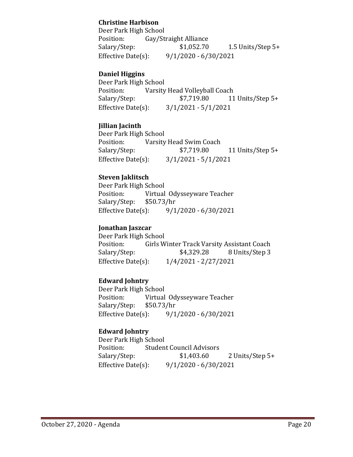# **Christine Harbison**

Deer Park High School<br>Position: Gay/St Position: Gay/Straight Alliance<br>Salary/Step: \$1,052.70 1.5 Units/Step 5+ Effective Date(s): 9/1/2020 - 6/30/2021

## **Daniel Higgins**

Deer Park High School<br>Position: Varsity Position: Varsity Head Volleyball Coach<br>Salary/Step: \$7,719.80 11 11 Units/Step 5+ Effective Date(s): 3/1/2021 - 5/1/2021

## **Jillian Jacinth**

Deer Park High School<br>Position: Varsity Position: Varsity Head Swim Coach<br>Salary/Step: \$7,719.80 Salary/Step: \$7,719.80 11 Units/Step 5+<br>Effective Date(s): 3/1/2021 - 5/1/2021  $3/1/2021 - 5/1/2021$ 

## **Steven Jaklitsch**

Deer Park High School<br>Position: Virtual Virtual Odysseyware Teacher<br>\$50.73/hr Salary/Step: \$5<br>Effective Date(s):  $9/1/2020 - 6/30/2021$ 

#### **Jonathan Jaszcar**

Deer Park High School<br>Position: Girls W Position: Girls Winter Track Varsity Assistant Coach<br>Salary/Step: \$4,329.28 8 Units/Step 3 Salary/Step: \$4,329.28 8 Units/Step 3<br>Effective Date(s): 1/4/2021 - 2/27/2021 Effective Date(s): 1/4/2021 - 2/27/2021

#### **Edward Johntry**

Deer Park High School<br>Position: Virtual Virtual Odysseyware Teacher<br>\$50.73/hr Salary/Step: \$5<br>Effective Date(s):  $9/1/2020 - 6/30/2021$ 

# **Edward Johntry**

Deer Park High School<br>Position: Studen Position: Student Council Advisors<br>Salary/Step: \$1,403.60 2 Units/Step 5+ Effective Date(s): 9/1/2020 - 6/30/2021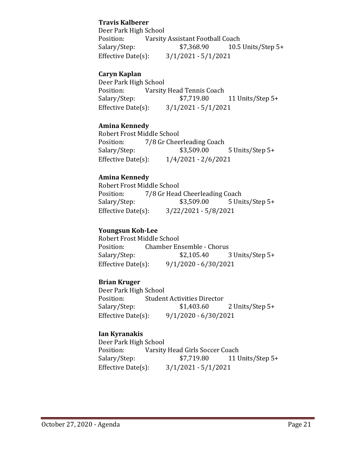# **Travis Kalberer**

Deer Park High School<br>Position: Varsity Position: Varsity Assistant Football Coach<br>Salary/Step: \$7,368.90 10.5 10.5 Units/Step  $5+$ Effective Date(s): 3/1/2021 - 5/1/2021

# **Caryn Kaplan**

Deer Park High School<br>Position: Varsity Position: Varsity Head Tennis Coach<br>Salary/Step: \$7,719.80 11 Units/Step 5+ Effective Date(s): 3/1/2021 - 5/1/2021

## **Amina Kennedy**

Robert Frost Middle School<br>Position: 7/8 Gr Chee Position: 7/8 Gr Cheerleading Coach<br>Salary/Step: \$3,509.00 Salary/Step: \$3,509.00 5 Units/Step 5+<br>Effective Date(s): 1/4/2021 - 2/6/2021  $1/4/2021 - 2/6/2021$ 

## **Amina Kennedy**

Robert Frost Middle School<br>Position: 7/8 Gr Head 7/8 Gr Head Cheerleading Coach<br>\$3,509.00 5 Uni Salary/Step: \$3,509.00 5 Units/Step 5+ Effective Date(s): 3/22/2021 - 5/8/2021

#### **Youngsun Koh-Lee**

Robert Frost Middle School<br>Position: Chamber En Position: Chamber Ensemble - Chorus<br>Salary/Step: \$2,105.40 Salary/Step: \$2,105.40 3 Units/Step 5+<br>Effective Date(s): 9/1/2020 - 6/30/2021  $9/1/2020 - 6/30/2021$ 

#### **Brian Kruger**

Deer Park High School<br>Position: Studen Position: Student Activities Director<br>Salary/Step: \$1,403.60 2 Units/Step 5+ Effective Date(s): 9/1/2020 - 6/30/2021

# **Ian Kyranakis**

Deer Park High School<br>Position: Varsity Position: Varsity Head Girls Soccer Coach<br>Salary/Step: \$7,719.80 11 U 11 Units/Step 5+ Effective Date(s): 3/1/2021 - 5/1/2021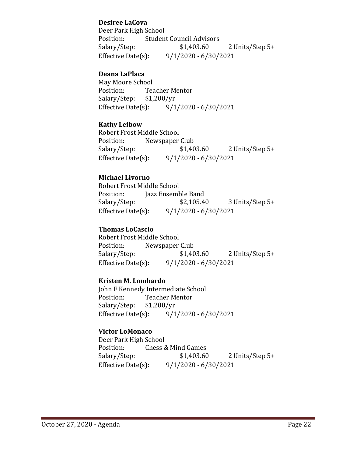## **Desiree LaCova**

Deer Park High School<br>Position: Studen Position: Student Council Advisors<br>Salary/Step: \$1,403.60 2 Units/Step 5+ Effective Date(s): 9/1/2020 - 6/30/2021

#### **Deana LaPlaca**

May Moore School<br>Position: Tea Teacher Mentor<br>\$1,200/yr Salary/Step: Effective Date(s): 9/1/2020 - 6/30/2021

## **Kathy Leibow**

Robert Frost Middle School Position: Newspaper Club<br>Salary/Step: \$1,403.60 2 Units/Step 5+ Effective Date(s): 9/1/2020 - 6/30/2021

## **Michael Livorno**

Robert Frost Middle School Position: Jazz Ensemble Band<br>Salary/Step: \$2,105.40 Salary/Step: \$2,105.40 3 Units/Step 5+<br>Effective Date(s): 9/1/2020 - 6/30/2021  $9/1/2020 - 6/30/2021$ 

## **Thomas LoCascio**

Robert Frost Middle School Position: Newspaper Club<br>Salary/Step: \$1,403.60 2 Units/Step 5+ Effective Date(s): 9/1/2020 - 6/30/2021

#### **Kristen M. Lombardo**

John F Kennedy Intermediate School<br>Position: Teacher Mentor Teacher Mentor<br>\$1,200/yr Salary/Step: \$1<br>Effective Date(s):  $9/1/2020 - 6/30/2021$ 

#### **Victor LoMonaco**

Deer Park High School<br>Position: Chess & Position: Chess & Mind Games<br>Salary/Step: \$1,403.60 2 Units/Step 5+ Effective Date(s): 9/1/2020 - 6/30/2021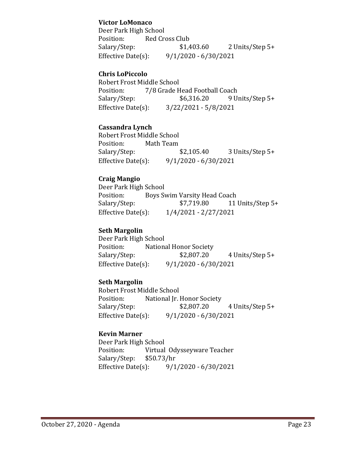## **Victor LoMonaco**

Deer Park High School<br>Position: Red Cro Position: Red Cross Club<br>Salary/Step: \$1,403.60 2 Units/Step 5+ Effective Date(s): 9/1/2020 - 6/30/2021

## **Chris LoPiccolo**

Robert Frost Middle School<br>Position: 7/8 Grade H Position: 7/8 Grade Head Football Coach<br>Salary/Step: \$6,316.20 9 U 9 Units/Step 5+ Effective Date(s): 3/22/2021 - 5/8/2021

## **Cassandra Lynch**

Robert Frost Middle School Position: Math Team<br>Salary/Step: \$2,105.40 3 Units/Step 5+ Effective Date(s): 9/1/2020 - 6/30/2021

## **Craig Mangio**

Deer Park High School<br>Position: Bovs Sy Position: Boys Swim Varsity Head Coach<br>Salary/Step: \$7,719.80 11 11 Units/Step 5+ Effective Date(s): 1/4/2021 - 2/27/2021

## **Seth Margolin**

Deer Park High School<br>Position: Nationa Position: National Honor Society<br>Salary/Step: \$2,807.20 Salary/Step: \$2,807.20 4 Units/Step 5+<br>Effective Date(s): 9/1/2020 - 6/30/2021  $9/1/2020 - 6/30/2021$ 

# **Seth Margolin**

Robert Frost Middle School<br>Position: National Jr. Position: National Jr. Honor Society<br>Salary/Step: \$2,807.20 4 Units/Step 5+ Effective Date(s): 9/1/2020 - 6/30/2021

# **Kevin Marner**

Deer Park High School Virtual Odysseyware Teacher<br>\$50.73/hr Salary/Step: \$5<br>Effective Date(s):  $9/1/2020 - 6/30/2021$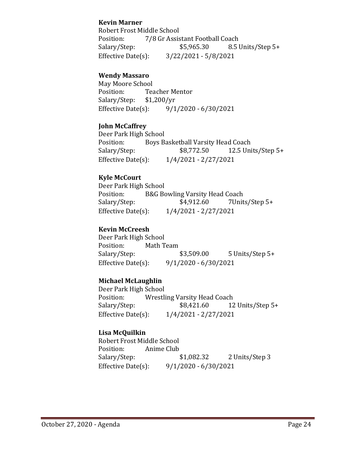## **Kevin Marner**

Robert Frost Middle School<br>Position: 7/8 Gr Assis Position: 7/8 Gr Assistant Football Coach<br>Salary/Step: \$5,965.30 8.5 U 8.5 Units/Step 5+ Effective Date(s): 3/22/2021 - 5/8/2021

#### **Wendy Massaro**

May Moore School<br>Position: Tea Teacher Mentor<br>\$1,200/vr Salary/Step: \$1<br>Effective Date(s):  $9/1/2020 - 6/30/2021$ 

#### **John McCaffrey**

Deer Park High School<br>Position: Boys B Position: Boys Basketball Varsity Head Coach<br>Salary/Step: \$8,772.50 12.5 Uni 12.5 Units/Step  $5+$ Effective Date(s): 1/4/2021 - 2/27/2021

# **Kyle McCourt**

Deer Park High School<br>Position: B&G Bo Position: B&G Bowling Varsity Head Coach<br>Salary/Step: \$4,912.60 7Unit Salary/Step: \$4,912.60 7Units/Step 5+<br>Effective Date(s): 1/4/2021 - 2/27/2021 Effective Date(s): 1/4/2021 - 2/27/2021

## **Kevin McCreesh**

Deer Park High School Position: Math Team<br>Salary/Step: \$3,509.00 5 Units/Step 5+ Effective Date(s): 9/1/2020 - 6/30/2021

#### **Michael McLaughlin**

Deer Park High School<br>Position: Wrestli Position: Wrestling Varsity Head Coach<br>Salary/Step: \$8,421.60 12 12 Units/Step 5+ Effective Date(s): 1/4/2021 - 2/27/2021

# **Lisa McQuilkin**

Robert Frost Middle School Position: Anime Club<br>Salary/Step: \$1,082.32 Salary/Step: \$1,082.32 2 Units/Step 3<br>Effective Date(s): 9/1/2020 - 6/30/2021  $9/1/2020 - 6/30/2021$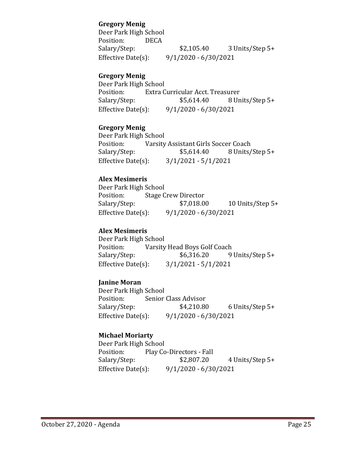#### **Gregory Menig**

Deer Park High School<br>Position: DECA Position:<br>Salary/Step: \$2,105.40 3 Units/Step 5+ Effective Date(s): 9/1/2020 - 6/30/2021

## **Gregory Menig**

Deer Park High School<br>Position: Extra C Position: Extra Curricular Acct. Treasurer<br>Salary/Step: \$5,614.40 8 Un 8 Units/Step 5+ Effective Date(s): 9/1/2020 - 6/30/2021

#### **Gregory Menig**

Deer Park High School Position: Varsity Assistant Girls Soccer Coach<br>Salary/Step: \$5,614.40 8 Units/ 8 Units/Step 5+ Effective Date(s): 3/1/2021 - 5/1/2021

## **Alex Mesimeris**

Deer Park High School<br>Position: Stage C Position: Stage Crew Director<br>Salary/Step: \$7,018.00 10 Units/Step  $5+$ Effective Date(s): 9/1/2020 - 6/30/2021

## **Alex Mesimeris**

Deer Park High School<br>Position: Varsity Position: Varsity Head Boys Golf Coach<br>Salary/Step: \$6,316.20 9 9 Units/Step 5+ Effective Date(s): 3/1/2021 - 5/1/2021

#### **Janine Moran**

Deer Park High School Position: Senior Class Advisor<br>Salary/Step: \$4,210.80  $6$  Units/Step 5+ Effective Date(s): 9/1/2020 - 6/30/2021

#### **Michael Moriarty**

Deer Park High School<br>Position: Play Co Position: Play Co-Directors - Fall<br>Salary/Step: \$2,807.20 Salary/Step: \$2,807.20 4 Units/Step 5+<br>Effective Date(s): 9/1/2020 - 6/30/2021  $9/1/2020 - 6/30/2021$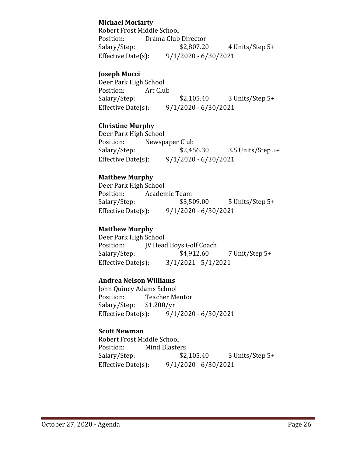# **Michael Moriarty**

Robert Frost Middle School Position: Drama Club Director<br>Salary/Step: \$2,807.20 4 Units/Step 5+ Effective Date(s): 9/1/2020 - 6/30/2021

## **Joseph Mucci**

Deer Park High School Position:<br>Salary/Step: \$2,105.40 3 Units/Step 5+ Effective Date(s): 9/1/2020 - 6/30/2021

# **Christine Murphy**

Deer Park High School<br>Position: Newsp Position: Newspaper Club<br>Salary/Step: \$2,456.30 Salary/Step: \$2,456.30 3.5 Units/Step 5+<br>Effective Date(s): 9/1/2020 - 6/30/2021  $9/1/2020 - 6/30/2021$ 

## **Matthew Murphy**

Deer Park High School<br>Position: Acaden Position: Academic Team<br>Salary/Step: \$3,509.00 5 Units/Step 5+ Effective Date(s): 9/1/2020 - 6/30/2021

#### **Matthew Murphy**

Deer Park High School<br>Position: IV Head Position: JV Head Boys Golf Coach<br>Salary/Step: \$4,912.60 7 Unit/Step 5+ Effective Date(s): 3/1/2021 - 5/1/2021

#### **Andrea Nelson Williams**

John Quincy Adams School<br>Position: Teacher Me Teacher Mentor<br>\$1,200/yr Salary/Step: \$1<br>Effective Date(s):  $9/1/2020 - 6/30/2021$ 

#### **Scott Newman**

Robert Frost Middle School<br>Position: Mind Blaste Position: Mind Blasters<br>Salary/Step: \$2,105.40 3 Units/Step 5+ Effective Date(s): 9/1/2020 - 6/30/2021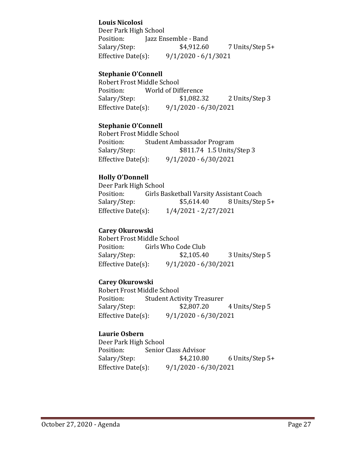# **Louis Nicolosi**

Deer Park High School Position: Jazz Ensemble - Band<br>Salary/Step: \$4,912.60 7 Units/Step 5+ Effective Date(s): 9/1/2020 - 6/1/3021

# **Stephanie O'Connell**

Robert Frost Middle School<br>Position: World of Dif Position: World of Difference<br>Salary/Step: \$1,082.32 2 Units/Step 3 Effective Date(s): 9/1/2020 - 6/30/2021

# **Stephanie O'Connell**

Robert Frost Middle School Position: Student Ambassador Program<br>Salary/Step: \$811.74 1.5 Units Salary/Step: \$811.74 1.5 Units/Step 3<br>Effective Date(s): 9/1/2020 - 6/30/2021  $9/1/2020 - 6/30/2021$ 

# **Holly O'Donnell**

Deer Park High School<br>Position: Girls Ba Position: Girls Basketball Varsity Assistant Coach<br>Salary/Step: \$5,614.40 8 Units/Step 8 Units/Step 5+ Effective Date(s): 1/4/2021 - 2/27/2021

# **Carey Okurowski**

Robert Frost Middle School<br>Position: Girls Who Co Position: Girls Who Code Club<br>Salary/Step: \$2,105.40 Salary/Step: \$2,105.40 3 Units/Step 5<br>Effective Date(s): 9/1/2020 - 6/30/2021  $9/1/2020 - 6/30/2021$ 

# **Carey Okurowski**

Robert Frost Middle School<br>Position: Student Acti Student Activity Treasurer<br>\$2,807.20 Salary/Step: \$2,807.20 4 Units/Step 5 Effective Date(s): 9/1/2020 - 6/30/2021

# **Laurie Osbern**

Deer Park High School Position: Senior Class Advisor<br>Salary/Step: \$4,210.80 Salary/Step: \$4,210.80 6 Units/Step 5+<br>Effective Date(s): 9/1/2020 - 6/30/2021  $9/1/2020 - 6/30/2021$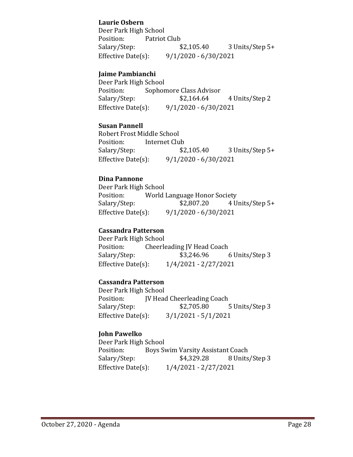## **Laurie Osbern**

Deer Park High School<br>Position: Patriot Position: Patriot Club<br>Salary/Step: \$2,105.40 3 Units/Step 5+ Effective Date(s): 9/1/2020 - 6/30/2021

## **Jaime Pambianchi**

Deer Park High School<br>Position: Sophor Position: Sophomore Class Advisor<br>Salary/Step: \$2,164.64 4 Units/Step 2 Effective Date(s): 9/1/2020 - 6/30/2021

#### **Susan Pannell**

Robert Frost Middle School Position: Internet Club<br>Salary/Step: \$2,105.40 Salary/Step: \$2,105.40 3 Units/Step 5+<br>Effective Date(s): 9/1/2020 - 6/30/2021  $9/1/2020 - 6/30/2021$ 

## **Dina Pannone**

Deer Park High School<br>Position: World Position: World Language Honor Society<br>Salary/Step: \$2,807.20 4 U Salary/Step: \$2,807.20 4 Units/Step 5+<br>Effective Date(s): 9/1/2020 - 6/30/2021  $9/1/2020 - 6/30/2021$ 

## **Cassandra Patterson**

Deer Park High School<br>Position: Cheerle Position: Cheerleading JV Head Coach<br>Salary/Step: \$3,246.96 Salary/Step: \$3,246.96 6 Units/Step 3<br>Effective Date(s): 1/4/2021 - 2/27/2021 Effective Date(s): 1/4/2021 - 2/27/2021

#### **Cassandra Patterson**

Deer Park High School<br>Position: [V Head Position: JV Head Cheerleading Coach<br>Salary/Step: \$2,705.80 5 Units/Step 3 Effective Date(s): 3/1/2021 - 5/1/2021

# **John Pawelko**

Deer Park High School<br>Position: Boys Sy Position: Boys Swim Varsity Assistant Coach<br>Salary/Step: \$4,329.28 8 Units Salary/Step: \$4,329.28 8 Units/Step 3<br>Effective Date(s): 1/4/2021 - 2/27/2021 Effective Date(s): 1/4/2021 - 2/27/2021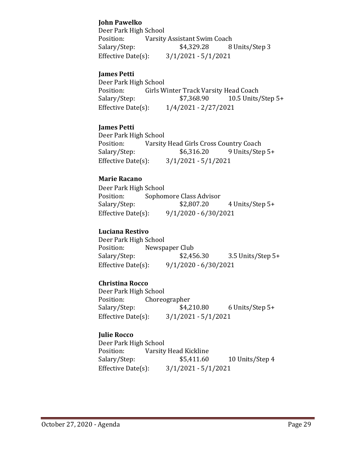# **John Pawelko**

Deer Park High School<br>Position: Varsity Varsity Assistant Swim Coach<br>\$4,329.28 8 Units/Step 3 Salary/Step: Effective Date(s): 3/1/2021 - 5/1/2021

#### **James Petti**

Deer Park High School<br>Position: Girls W Position: Girls Winter Track Varsity Head Coach<br>Salary/Step: \$7,368.90 10.5 Units 10.5 Units/Step  $5+$ Effective Date(s): 1/4/2021 - 2/27/2021

## **James Petti**

Deer Park High School<br>Position: Varsity Position: Varsity Head Girls Cross Country Coach<br>Salary/Step: \$6,316.20 9 Units/Step 9 Units/Step 5+ Effective Date(s): 3/1/2021 - 5/1/2021

## **Marie Racano**

Deer Park High School<br>Position: Sophor Position: Sophomore Class Advisor<br>Salary/Step: \$2,807.20 Salary/Step: \$2,807.20 4 Units/Step 5+<br>Effective Date(s): 9/1/2020 - 6/30/2021  $9/1/2020 - 6/30/2021$ 

## **Luciana Restivo**

Deer Park High School<br>Position: Newsp Newspaper Club Salary/Step: \$2,456.30 3.5 Units/Step 5+<br>Effective Date(s): 9/1/2020 - 6/30/2021  $9/1/2020 - 6/30/2021$ 

# **Christina Rocco**

Deer Park High School<br>Position: Choreo Position: Choreographer<br>Salary/Step: \$4,210.80 6 Units/Step 5+ Effective Date(s): 3/1/2021 - 5/1/2021

# **Julie Rocco**

Deer Park High School<br>Position: Varsity Position: Varsity Head Kickline<br>Salary/Step: \$5,411.60 Salary/Step: \$5,411.60 10 Units/Step 4<br>Effective Date(s): 3/1/2021 - 5/1/2021  $3/1/2021 - 5/1/2021$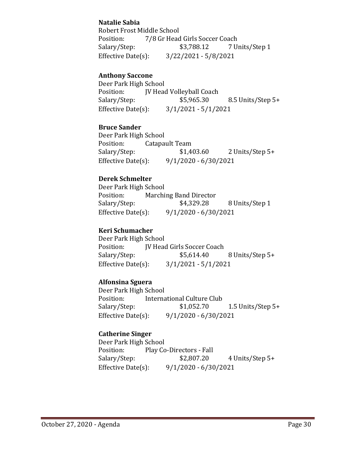# **Natalie Sabia**

Robert Frost Middle School<br>Position: 7/8 Gr Head Position: 7/8 Gr Head Girls Soccer Coach<br>Salary/Step: \$3,788.12 7 U 7 Units/Step 1 Effective Date(s): 3/22/2021 - 5/8/2021

## **Anthony Saccone**

Deer Park High School<br>Position: [V Head Position: JV Head Volleyball Coach<br>Salary/Step: \$5,965.30 Salary/Step: \$5,965.30 8.5 Units/Step 5+<br>Effective Date(s): 3/1/2021 - 5/1/2021  $3/1/2021 - 5/1/2021$ 

## **Bruce Sander**

Deer Park High School<br>Position: Catapa Position: Catapault Team<br>Salary/Step: \$1,403.60 2 Units/Step 5+ Effective Date(s): 9/1/2020 - 6/30/2021

# **Derek Schmelter**

Deer Park High School Position: Marching Band Director<br>Salary/Step: \$4,329.28 8 Units/Step 1 Effective Date(s): 9/1/2020 - 6/30/2021

## **Keri Schumacher**

Deer Park High School<br>Position: [V Head Position: JV Head Girls Soccer Coach<br>Salary/Step: \$5,614.40 Salary/Step: \$5,614.40 8 Units/Step 5+<br>Effective Date(s): 3/1/2021 - 5/1/2021  $3/1/2021 - 5/1/2021$ 

# **Alfonsina Sguera**

Deer Park High School<br>Position: Interna Position: International Culture Club<br>Salary/Step: \$1,052.70 1.5 Units/Step  $5+$ Effective Date(s): 9/1/2020 - 6/30/2021

# **Catherine Singer**

Deer Park High School<br>Position: Play Co Position: Play Co-Directors - Fall<br>Salary/Step: \$2,807.20 4 Units/Step 5+ Effective Date(s): 9/1/2020 - 6/30/2021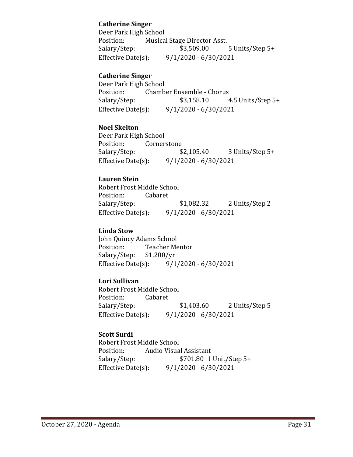## **Catherine Singer**

Deer Park High School<br>Position: Musica Position: Musical Stage Director Asst.<br>Salary/Step: \$3,509.00 5 Units/Step 5+ Effective Date(s): 9/1/2020 - 6/30/2021

## **Catherine Singer**

Deer Park High School<br>Position: Chamb Position: Chamber Ensemble - Chorus<br>Salary/Step: \$3,158.10 4.5 Units/Step 5+ Effective Date(s): 9/1/2020 - 6/30/2021

#### **Noel Skelton**

Deer Park High School Position: Cornerstone<br>Salary/Step: \$2,105.40 3 Units/Step 5+ Effective Date(s): 9/1/2020 - 6/30/2021

## **Lauren Stein**

Robert Frost Middle School<br>Position: Cabaret Position:<br>Salary/Step: \$1,082.32 2 Units/Step 2 Effective Date(s): 9/1/2020 - 6/30/2021

#### **Linda Stow**

John Quincy Adams School<br>Position: Teacher Me Teacher Mentor<br>\$1,200/yr Salary/Step: \$1<br>Effective Date(s):  $9/1/2020 - 6/30/2021$ 

# **Lori Sullivan**

Robert Frost Middle School Position: Cabaret<br>Salary/Step: Salary/Step: \$1,403.60 2 Units/Step 5<br>Effective Date(s): 9/1/2020 - 6/30/2021  $9/1/2020 - 6/30/2021$ 

# **Scott Surdi**

Robert Frost Middle School Position: Audio Visual Assistant<br>Salary/Step: \$701.80 1 \$701.80 1 Unit/Step 5+ Effective Date(s): 9/1/2020 - 6/30/2021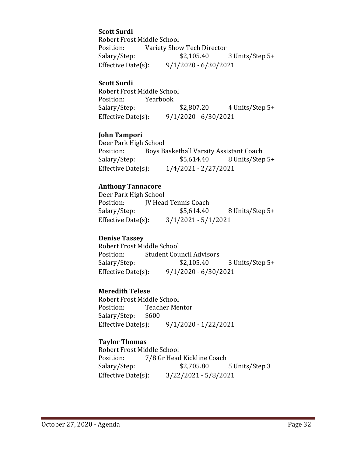## **Scott Surdi**

Robert Frost Middle School<br>Position: Variety Shov Position: Variety Show Tech Director<br>Salary/Step: \$2,105.40 3 Units/Step 5+ Effective Date(s): 9/1/2020 - 6/30/2021

#### **Scott Surdi**

Robert Frost Middle School<br>Position: Yearbook Position: Yearbook<br>Salary/Step: \$2,807.20 4 Units/Step 5+ Effective Date(s): 9/1/2020 - 6/30/2021

#### **John Tampori**

Deer Park High School<br>Position: Boys B Position: Boys Basketball Varsity Assistant Coach<br>Salary/Step: \$5,614.40 8 Units/Step Salary/Step: \$5,614.40 8 Units/Step 5+<br>Effective Date(s): 1/4/2021 - 2/27/2021 Effective Date(s): 1/4/2021 - 2/27/2021

#### **Anthony Tannacore**

Deer Park High School<br>Position: [V Head Position: JV Head Tennis Coach<br>Salary/Step: \$5,614.40 8 Units/Step 5+ Effective Date(s): 3/1/2021 - 5/1/2021

#### **Denise Tassey**

Robert Frost Middle School<br>Position: Student Cou Position: Student Council Advisors<br>Salary/Step: \$2,105.40 3 Units/Step 5+ Effective Date(s): 9/1/2020 - 6/30/2021

#### **Meredith Telese**

Robert Frost Middle School<br>Position: Teacher Mer Teacher Mentor<br>\$600 Salary/Step: Effective Date(s): 9/1/2020 - 1/22/2021

#### **Taylor Thomas**

Robert Frost Middle School<br>Position: 7/8 Gr Head Position: 7/8 Gr Head Kickline Coach<br>Salary/Step: \$2,705.80 Salary/Step: \$2,705.80 5 Units/Step 3<br>Effective Date(s): 3/22/2021 - 5/8/2021  $3/22/2021 - 5/8/2021$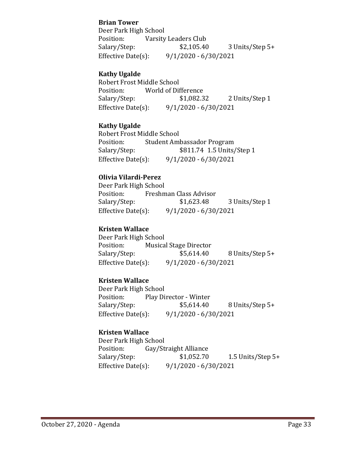## **Brian Tower**

Deer Park High School<br>Position: Varsity Position: Varsity Leaders Club<br>Salary/Step: \$2,105.40 3 Units/Step 5+ Effective Date(s): 9/1/2020 - 6/30/2021

## **Kathy Ugalde**

Robert Frost Middle School<br>Position: World of Dif Position: World of Difference<br>Salary/Step: \$1,082.32 2 Units/Step 1 Effective Date(s): 9/1/2020 - 6/30/2021

## **Kathy Ugalde**

Robert Frost Middle School Position: Student Ambassador Program<br>Salary/Step: \$811.74 1.5 Units Salary/Step: \$811.74 1.5 Units/Step 1<br>Effective Date(s): 9/1/2020 - 6/30/2021  $9/1/2020 - 6/30/2021$ 

## **Olivia Vilardi-Perez**

Deer Park High School<br>Position: Freshm Position: Freshman Class Advisor<br>Salary/Step: \$1,623.48 3 Units/Step 1 Effective Date(s): 9/1/2020 - 6/30/2021

## **Kristen Wallace**

Deer Park High School<br>Position: Musica Position: Musical Stage Director<br>Salary/Step: \$5,614.40 8 Units/Step 5+ Effective Date(s): 9/1/2020 - 6/30/2021

# **Kristen Wallace**

Deer Park High School<br>Position: Play Di Position: Play Director - Winter<br>Salary/Step: \$5,614.40 Salary/Step: \$5,614.40 8 Units/Step 5+<br>Effective Date(s): 9/1/2020 - 6/30/2021  $9/1/2020 - 6/30/2021$ 

# **Kristen Wallace**

Deer Park High School<br>Position: Gay/St Position: Gay/Straight Alliance<br>Salary/Step: \$1,052.70 1.5 Units/Step  $5+$ Effective Date(s): 9/1/2020 - 6/30/2021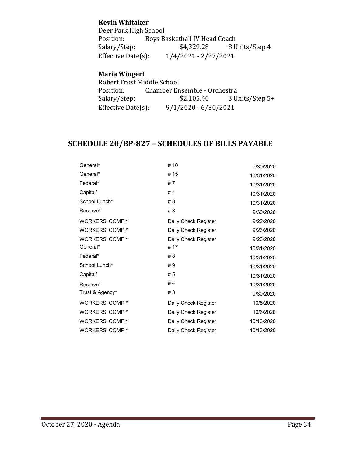## **Kevin Whitaker**

Deer Park High School<br>Position: Boys B Boys Basketball JV Head Coach<br>\$4,329.28 8 Units/Step 4 Salary/Step:<br>Effective Date(s):  $1/4/2021 - 2/27/2021$ 

# **Maria Wingert**

Robert Frost Middle School<br>Position: Chamber En Position: Chamber Ensemble - Orchestra<br>Salary/Step: \$2,105.40 3 U Salary/Step: \$2,105.40 3 Units/Step 5+<br>Effective Date(s):  $9/1/2020 - 6/30/2021$  $9/1/2020 - 6/30/2021$ 

# **SCHEDULE 20/BP-827 – SCHEDULES OF BILLS PAYABLE**

| General*               | # 10                 | 9/30/2020  |
|------------------------|----------------------|------------|
| General*               | # 15                 | 10/31/2020 |
| Federal*               | #7                   | 10/31/2020 |
| Capital*               | #4                   | 10/31/2020 |
| School Lunch*          | #8                   | 10/31/2020 |
| Reserve*               | #3                   | 9/30/2020  |
| WORKERS' COMP.*        | Daily Check Register | 9/22/2020  |
| WORKERS' COMP.*        | Daily Check Register | 9/23/2020  |
| WORKERS' COMP.*        | Daily Check Register | 9/23/2020  |
| General*               | # 17                 | 10/31/2020 |
| Federal*               | #8                   | 10/31/2020 |
| School Lunch*          | #9                   | 10/31/2020 |
| Capital*               | #5                   | 10/31/2020 |
| Reserve*               | #4                   | 10/31/2020 |
| Trust & Agency*        | #3                   | 9/30/2020  |
| <b>WORKERS' COMP.*</b> | Daily Check Register | 10/5/2020  |
| <b>WORKERS' COMP.*</b> | Daily Check Register | 10/6/2020  |
| <b>WORKERS' COMP.*</b> | Daily Check Register | 10/13/2020 |
| WORKERS' COMP.*        | Daily Check Register | 10/13/2020 |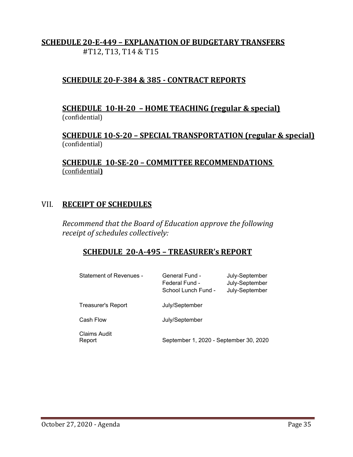# **SCHEDULE 20-E-449 – EXPLANATION OF BUDGETARY TRANSFERS** #T12, T13, T14 & T15

# **SCHEDULE 20-F-384 & 385 - CONTRACT REPORTS**

# **SCHEDULE 10-H-20 – HOME TEACHING (regular & special)** (confidential)

**SCHEDULE 10-S-20 – SPECIAL TRANSPORTATION (regular & special)** (confidential)

**SCHEDULE 10-SE-20 – COMMITTEE RECOMMENDATIONS**  (confidential**)**

# VII. **RECEIPT OF SCHEDULES**

*Recommend that the Board of Education approve the following receipt of schedules collectively:*

# **SCHEDULE 20-A-495 – TREASURER's REPORT**

| <b>Statement of Revenues -</b> | General Fund -<br>Federal Fund -<br>School Lunch Fund - | July-September<br>July-September<br>July-September |
|--------------------------------|---------------------------------------------------------|----------------------------------------------------|
| Treasurer's Report             | July/September                                          |                                                    |
| Cash Flow                      | July/September                                          |                                                    |
| Claims Audit<br>Report         | September 1, 2020 - September 30, 2020                  |                                                    |